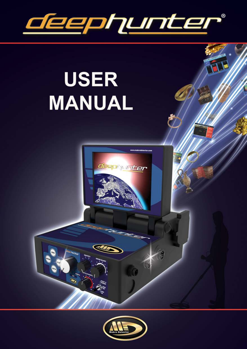

# **USER** MANUAL

 $\overline{\mathbb{Z}}$ 

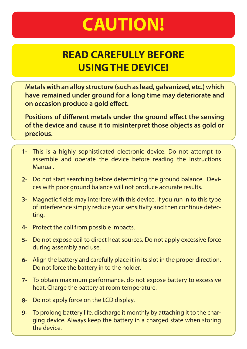## **CAUTION!**

#### **READ CAREFULLY BEFORE USING THE DEVICE!**

**Metals with an alloy structure (such as lead, galvanized, etc.) which have remained under ground for a long time may deteriorate and on occasion produce a gold effect.** 

**Positions of different metals under the ground effect the sensing of the device and cause it to misinterpret those objects as gold or precious.** 

- This is a highly sophisticated electronic device. Do not attempt to **1** assemble and operate the device before reading the Instructions Manual.
- Do not start searching before determining the ground balance. Devi-**2** ces with poor ground balance will not produce accurate results.
- Magnetic fields may interfere with this device. If you run in to this type **3** of interference simply reduce your sensitivity and then continue detecting.
- Protect the coil from possible impacts. **4-**
- Do not expose coil to direct heat sources. Do not apply excessive force **5** during assembly and use.
- Align the battery and carefully place it in its slot in the proper direction. **6-** Do not force the battery in to the holder.
- To obtain maximum performance, do not expose battery to excessive **7** heat. Charge the battery at room temperature.
- Do not apply force on the LCD display. **8-**
- To prolong battery life, discharge it monthly by attaching it to the char-**9**ging device. Always keep the battery in a charged state when storing the device.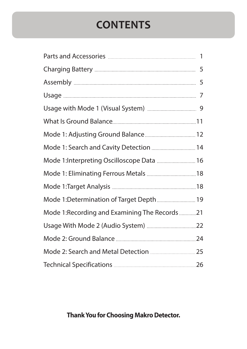## **CONTENTS**

| Mode 1: Search and Cavity Detection  14        |  |
|------------------------------------------------|--|
| Mode 1:Interpreting Oscilloscope Data  16      |  |
|                                                |  |
|                                                |  |
| Mode 1: Determination of Target Depth  19      |  |
| Mode 1: Recording and Examining The Records 21 |  |
|                                                |  |
|                                                |  |
|                                                |  |
|                                                |  |

#### **Thank You for Choosing Makro Detector.**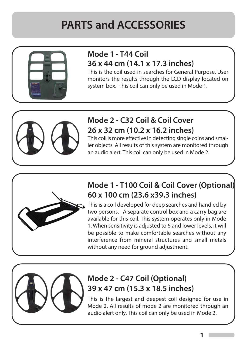

#### **Mode 1 - T44 Coil 36 x 44 cm (14.1 x 17.3 inches)**

This is the coil used in searches for General Purpose. User monitors the results through the LCD display located on system box. This coil can only be used in Mode 1.



#### **Mode 2 - C32 Coil & Coil Cover 26 x 32 cm (10.2 x 16.2 inches)**

This coil is more effective in detecting single coins and smaller objects. All results of this system are monitored through an audio alert. This coil can only be used in Mode 2.



#### **Mode 1 - T100 Coil & Coil Cover (Optional) 60 x 100 cm (23.6 x39.3 inches)**

This is a coil developed for deep searches and handled by two persons. A separate control box and a carry bag are available for this coil. This system operates only in Mode 1. When sensitivity is adjusted to 6 and lower levels, it will be possible to make comfortable searches without any interference from mineral structures and small metals without any need for ground adjustment.



#### **Mode 2 - C47 Coil (Optional) 39 x 47 cm (15.3 x 18.5 inches)**

This is the largest and deepest coil designed for use in Mode 2. All results of mode 2 are monitored through an audio alert only. This coil can only be used in Mode 2.

**1**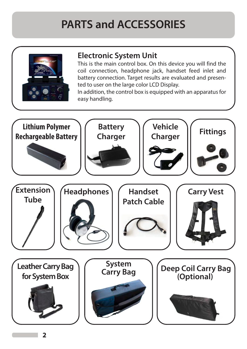

#### **Electronic System Unit**

This is the main control box. On this device you will find the coil connection, headphone jack, handset feed inlet and battery connection. Target results are evaluated and presented to user on the large color LCD Display.

In addition, the control box is equipped with an apparatus for easy handling.

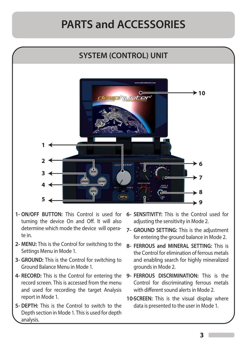

- **ON/OFF BUTTON:** This Control is used for **1** turning the device On and Off. It will also determine which mode the device will operate in.
- **MENU:** This is the Control for switching to the **2-** Settings Menu in Mode 1.
- **GROUND:** This is the Control for switching to **3-** Ground Balance Menu in Mode 1.
- **RECORD:** This is the Control for entering the **4** record screen. This is accessed from the menu and used for recording the target Analysis report in Mode 1.
- **DEPTH:** This is the Control to switch to the **5-** Depth section in Mode 1. This is used for depth analysis.
- **6- SENSITIVITY:** This is the Control used for adjusting the sensitivity in Mode 2.
- **7- GROUND SETTING:** This is the adjustment for entering the ground balance in Mode 2.
- **8- FERROUS and MINERAL SETTING:** This is the Control for elimination of ferrous metals and enabling search for highly mineralized grounds in Mode 2.
- **9- FERROUS DISCRIMINATION:** This is the Control for discriminating ferrous metals with different sound alerts in Mode 2
- **10- SCREEN:** This is the visual display where data is presented to the user in Mode 1.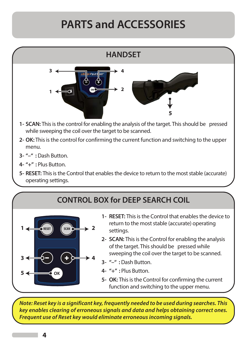



- **RESET:** This is the Control that enables the device to **1** return to the most stable (accurate) operating settings.
- **SCAN:** This is the Control for enabling the analysis **2** of the target. This should be pressed while sweeping the coil over the target to be scanned.
- **"–" :** Dash Button. **3-**
- **"+" :** Plus Button. **4-**
- **OK:** This is the Control for confirming the current **5** function and switching to the upper menu.

*Note: Reset key is a significant key, frequently needed to be used during searches. This key enables clearing of erroneous signals and data and helps obtaining correct ones. Frequent use of Reset key would eliminate erroneous incoming signals.*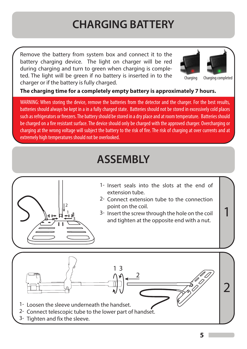## **CHARGING BATTERY**

Remove the battery from system box and connect it to the battery charging device. The light on charger will be red during charging and turn to green when charging is completed. The light will be green if no battery is inserted in to the charger or if the battery is fully charged.



Charging Charging completed

1

**The charging time for a completely empty battery is approximately 7 hours.**

WARNING: When storing the device, remove the batteries from the detector and the charger. For the best results, batteries should always be kept in a in a fully charged state. Batteries should not be stored in excessively cold places such as refrigerators or freezers. The battery should be stored in a dry place and at room temperature. Batteries should be charged on a fire resistant surface. The device should only be charged with the approved charger. Overcharging or charging at the wrong voltage will subject the battery to the risk of fire. The risk of charging at over currents and at extremely high temperatures should not be overlooked.

#### **ASSEMBLY**



- 1- Insert seals into the slots at the end of extension tube.
- 2- Connect extension tube to the connection point on the coil.
- $\frac{1}{2}$  and  $\frac{1}{2}$  3- Insert the screw through the hole on the coil and tighten at the opposite end with a nut.

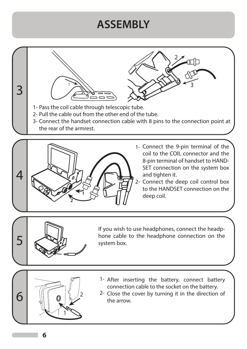#### **ASSEMBLY**

3 1- Pass the coil cable through telescopic tube. 2- Pull the cable out from the other end of the tube. 1 2 3

3- Connect the handset connection cable with 8 pins to the connection point at the rear of the armrest.



- 1- Connect the 9-pin terminal of the coil to the COIL connector and the 8-pin terminal of handset to HAND-SET connection on the system box and tighten it.
- 2- Connect the deep coil control box to the HANDSET connection on the deep coil. **<sup>1</sup>**



If you wish to use headphones, connect the headphone cable to the headphone connection on the system box.



- 1- After inserting the battery, connect battery connection cable to the socket on the battery.
- 2- Close the cover by turning it in the direction of the arrow.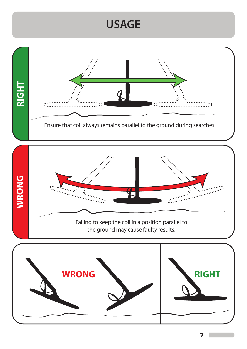#### **USAGE**



**7**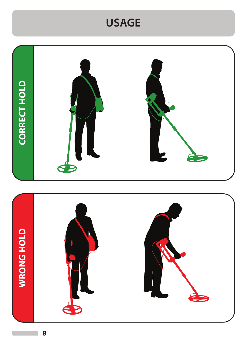#### **USAGE**

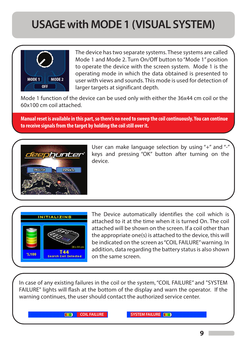## **USAGE with MODE 1 (VISUAL SYSTEM)**



The device has two separate systems. These systems are called Mode 1 and Mode 2. Turn On/Off button to "Mode 1" position to operate the device with the screen system. Mode 1 is the operating mode in which the data obtained is presented to user with views and sounds. This mode is used for detection of larger targets at significant depth.

Mode 1 function of the device can be used only with either the 36x44 cm coil or the 60x100 cm coil attached.

**Manual reset is available in this part, so there's no need to sweep the coil continuously. You can continue to receive signals from the target by holding the coil still over it.**



User can make language selection by using "+" and "-" keys and pressing "OK" button after turning on the device.



The Device automatically identifies the coil which is attached to it at the time when it is turned On. The coil attached will be shown on the screen. If a coil other than the appropriate one(s) is attached to the device, this will be indicated on the screen as "COIL FAILURE" warning. In addition, data regarding the battery status is also shown on the same screen.

In case of any existing failures in the coil or the system, "COIL FAILURE" and "SYSTEM FAILURE" lights will flash at the bottom of the display and warn the operator. If the warning continues, the user should contact the authorized service center.

m

**COIL FAILURE SYSTEM FAILURE**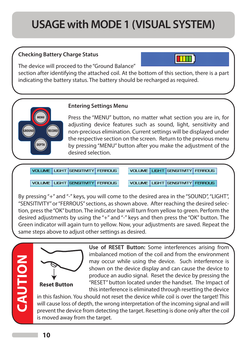## **USAGE with MODE 1 (VISUAL SYSTEM)**

#### **Checking Battery Charge Status**

The device will proceed to the "Ground Balance"

section after identifying the attached coil. At the bottom of this section, there is a part indicating the battery status. The battery should be recharged as required.

#### **Entering Settings Menu**

Press the "MENU" button, no matter what section you are in, for adjusting device features such as sound, light, sensitivity and non-precious elimination. Current settings will be displayed under the respective section on the screen. Return to the previous menu by pressing "MENU" button after you make the adjustment of the desired selection.

**VOLUME** LIGHT SENSITIVITY FERROUS

VOLUME | LIGHT SENSITIVITY | FERROUS

**VOLUME** LIGHT SENSITIVITY FERROUS

**VOLUME LIGHT SENSITIVITY FERROUS** 

By pressing "+" and "-" keys, you will come to the desired area in the "SOUND", "LIGHT", "SENSITIVITY" or "FERROUS" sections, as shown above. After reaching the desired selection, press the "OK" button. The indicator bar will turn from yellow to green. Perform the desired adjustments by using the "+" and "-" keys and then press the "OK" button. The Green indicator will again turn to yellow. Now, your adjustments are saved. Repeat the same steps above to adjust other settings as desired.

CAUTION **CAUTION**

**GROUND**

**DEPTH**

**RECORD**



**Use of RESET Button:** Some interferences arising from imbalanced motion of the coil and from the environment may occur while using the device. Such interference is shown on the device display and can cause the device to produce an audio signal. Reset the device by pressing the "RESET" button located under the handset. The Impact of this interference is eliminated through resetting the device

in this fashion. You should not reset the device while coil is over the target! This will cause loss of depth, the wrong interpretation of the incoming signal and will prevent the device from detecting the target. Resetting is done only after the coil is moved away from the target.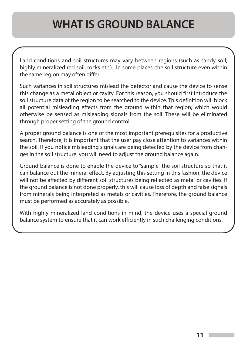#### **WHAT IS GROUND BALANCE**

Land conditions and soil structures may vary between regions (such as sandy soil, highly mineralized red soil, rocks etc.). In some places, the soil structure even within the same region may often differ.

Such variances in soil structures mislead the detector and cause the device to sense this change as a metal object or cavity. For this reason, you should first introduce the soil structure data of the region to be searched to the device. This definition will block all potential misleading effects from the ground within that region; which would otherwise be sensed as misleading signals from the soil. These will be eliminated through proper setting of the ground control.

A proper ground balance is one of the most important prerequisites for a productive search. Therefore, it is important that the user pay close attention to variances within the soil. If you notice misleading signals are being detected by the device from changes in the soil structure, you will need to adjust the ground balance again.

Ground balance is done to enable the device to "sample" the soil structure so that it can balance out the mineral effect. By adjusting this setting in this fashion, the device will not be affected by different soil structures being reflected as metal or cavities. If the ground balance is not done properly, this will cause loss of depth and false signals from minerals being interpreted as metals or cavities. Therefore, the ground balance must be performed as accurately as possible.

With highly mineralized land conditions in mind, the device uses a special ground balance system to ensure that it can work efficiently in such challenging conditions.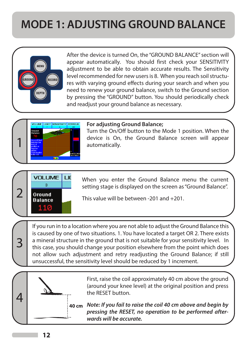## **MODE 1: ADJUSTING GROUND BALANCE**



After the device is turned On, the "GROUND BALANCE" section will appear automatically. You should first check your SENSITIVITY adjustment to be able to obtain accurate results. The Sensitivity level recommended for new users is 8. When you reach soil structures with varying ground effects during your search and when you need to renew your ground balance, switch to the Ground section by pressing the "GROUND" button. You should periodically check and readjust your ground balance as necessary.



#### **For adjusting Ground Balance;**

Turn the On/Off button to the Mode 1 position. When the device is On, the Ground Balance screen will appear automatically.



3

When you enter the Ground Balance menu the current setting stage is displayed on the screen as "Ground Balance".<br> **Balance** This value will be between -201 and +201.

If you run in to a location where you are not able to adjust the Ground Balance this is caused by one of two situations. 1. You have located a target OR 2. There exists a mineral structure in the ground that is not suitable for your sensitivity level. In this case, you should change your position elsewhere from the point which does not allow such adjustment and retry readjusting the Ground Balance; if still unsuccessful, the sensitivity level should be reduced by 1 increment.



First, raise the coil approximately 40 cm above the ground (around your knee level) at the original position and press the RESET button.

*Note: If you fail to raise the coil 40 cm above and begin by pressing the RESET, no operation to be performed afterwards will be accurate.*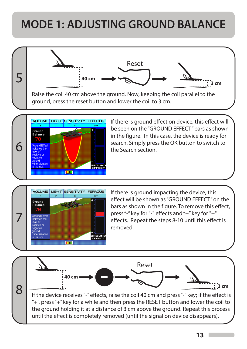## **MODE 1: ADJUSTING GROUND BALANCE**

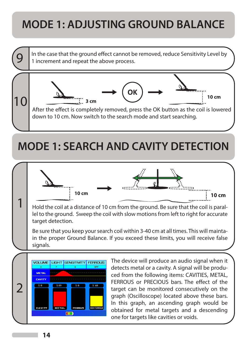## **MODE 1: ADJUSTING GROUND BALANCE**

In the case that the ground effect cannot be removed, reduce Sensitivity Level by 1 increment and repeat the above process.



## **MODE 1: SEARCH AND CAVITY DETECTION**

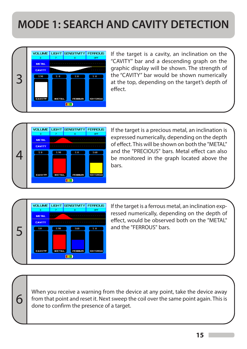## **MODE 1: SEARCH AND CAVITY DETECTION**



If the target is a cavity, an inclination on the "CAVITY" bar and a descending graph on the graphic display will be shown. The strength of the "CAVITY" bar would be shown numerically at the top, depending on the target's depth of effect



If the target is a precious metal, an inclination is expressed numerically, depending on the depth of effect. This will be shown on both the "METAL" and the "PRECIOUS" bars. Metal effect can also be monitored in the graph located above the bars.



If the target is a ferrous metal, an inclination expressed numerically, depending on the depth of effect, would be observed both on the "METAL"

When you receive a warning from the device at any point, take the device away **6** from that point and reset it. Next sweep the coil over the same point again. This is done to confirm the presence of a target.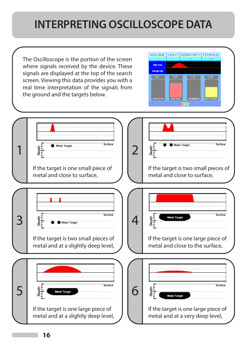#### **INTERPRETING OSCILLOSCOPE DATA**

The Oscilloscope is the portion of the screen where signals received by the device. These signals are displayed at the top of the search screen. Viewing this data provides you with a real time interpretation of the signals from the ground and the targets below.

| <b>VOLUME</b> |              | <b>LIGHT SENSITIVITY FERROUS</b> |                    |
|---------------|--------------|----------------------------------|--------------------|
| s             |              | Ř                                | OFF                |
| <b>METAL</b>  | .            |                                  |                    |
| <b>BOSLUK</b> |              |                                  |                    |
| 2.0           | 7.89         | 7.8                              | $Z$ 60             |
|               |              |                                  |                    |
|               |              |                                  |                    |
|               |              |                                  |                    |
| <b>EAVITY</b> | <b>METAL</b> | FERRUS                           | <b>NON-FERROUS</b> |
|               |              |                                  |                    |

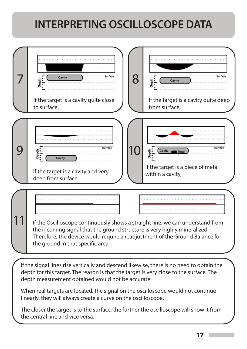## **INTERPRETING OSCILLOSCOPE DATA**

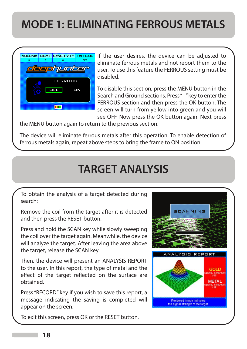## **MODE 1: ELIMINATING FERROUS METALS**



If the user desires, the device can be adjusted to eliminate ferrous metals and not report them to the user. To use this feature the FERROUS setting must be disabled.

To disable this section, press the MENU button in the Search and Ground sections. Press "+" key to enter the FERROUS section and then press the OK button. The screen will turn from yellow into green and you will see OFF. Now press the OK button again. Next press

the MENU button again to return to the previous section.

The device will eliminate ferrous metals after this operation. To enable detection of ferrous metals again, repeat above steps to bring the frame to ON position.

#### **TARGET ANALYSIS**

To obtain the analysis of a target detected during search:

Remove the coil from the target after it is detected and then press the RESET button.

Press and hold the SCAN key while slowly sweeping the coil over the target again. Meanwhile, the device will analyze the target. After leaving the area above the target, release the SCAN key.

Then, the device will present an ANALYSIS REPORT to the user. In this report, the type of metal and the effect of the target reflected on the surface are obtained.

Press "RECORD" key if you wish to save this report, a message indicating the saving is completed will appear on the screen.

To exit this screen, press OK or the RESET button.

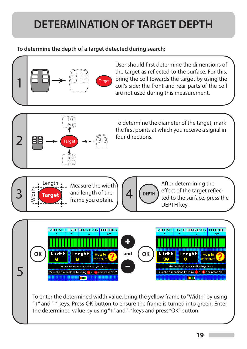## **DETERMINATION OF TARGET DEPTH**

#### **To determine the depth of a target detected during search:**

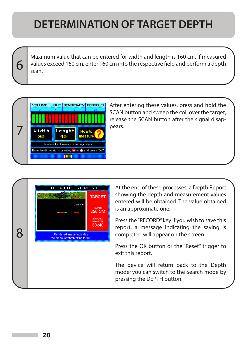## **DETERMINATION OF TARGET DEPTH**

Maximum value that can be entered for width and length is 160 cm. If measured values exceed 160 cm, enter 160 cm into the respective field and perform a depth scan.



6

After entering these values, press and hold the SCAN button and sweep the coil over the target, release the SCAN button after the signal disappears.



At the end of these processes, a Depth Report showing the depth and measurement values entered will be obtained. The value obtained is an approximate one.

Press the "RECORD" key if you wish to save this report, a message indicating the saving is completed will appear on the screen.

Press the OK button or the "Reset" trigger to exit this report.

The device will return back to the Depth mode; you can switch to the Search mode by pressing the DEPTH button.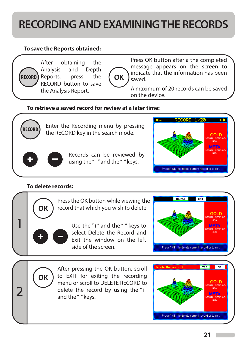## **RECORDING AND EXAMINING THE RECORDS**

#### **To save the Reports obtained:**



After obtaining the Analysis and Depth **RECORD**) Reports, press the RECORD button to save the Analysis Report.



Press OK button after a the completed message appears on the screen to indicate that the information has been saved.

A maximum of 20 records can be saved on the device.

#### **To retrieve a saved record for review at a later time:**



Enter the Recording menu by pressing the RECORD key in the search mode.



Records can be reviewed by using the "+" and the "-" keys.



#### **To delete records:**

**OK** 



to EXIT for exiting the recording menu or scroll to DELETE RECORD to 2 delete the record by using the "+" and the "-" keys.

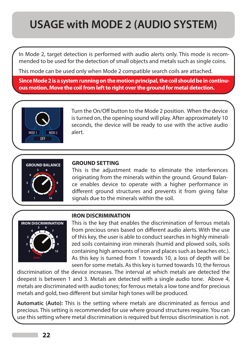## **USAGE with MODE 2 (AUDIO SYSTEM)**

In Mode 2, target detection is performed with audio alerts only. This mode is recommended to be used for the detection of small objects and metals such as single coins.

This mode can be used only when Mode 2 compatible search coils are attached.

**Since Mode 2 is a system running on the motion principal, the coil should be in continuous motion. Move the coil from left to right over the ground for metal detection.** 



Turn the On/Off button to the Mode 2 position. When the device is turned on, the opening sound will play. After approximately 10 seconds, the device will be ready to use with the active audio alert.



#### **GROUND SETTING**

This is the adjustment made to eliminate the interferences originating from the minerals within the ground. Ground Balance enables device to operate with a higher performance in different ground structures and prevents it from giving false signals due to the minerals within the soil.



#### **IRON DISCRIMINATION**

This is the key that enables the discrimination of ferrous metals from precious ones based on different audio alerts. With the use of this key, the user is able to conduct searches in highly mineralized soils containing iron minerals (humid and plowed soils, soils containing high amounts of iron and places such as beaches etc.). As this key is turned from 1 towards 10, a loss of depth will be seen for some metals. As this key is turned towards 10, the ferrous

discrimination of the device increases. The interval at which metals are detected the deepest is between 1 and 3. Metals are detected with a single audio tone. Above 4, metals are discriminated with audio tones; for ferrous metals a low tone and for precious metals and gold, two different but similar high tones will be produced.

**Automatic (Auto):** This is the setting where metals are discriminated as ferrous and precious. This setting is recommended for use where ground structures require. You can use this setting where metal discrimination is required but ferrous discrimination is not.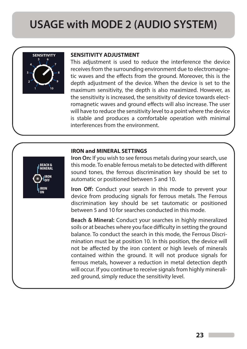#### **USAGE with MODE 2 (AUDIO SYSTEM)**



#### **SENSITIVITY SENSITIVITY ADJUSTMENT**

This adjustment is used to reduce the interference the device receives from the surrounding environment due to electromagnetic waves and the effects from the ground. Moreover, this is the depth adjustment of the device. When the device is set to the maximum sensitivity, the depth is also maximized. However, as the sensitivity is increased, the sensitivity of device towards electromagnetic waves and ground effects will also increase. The user will have to reduce the sensitivity level to a point where the device is stable and produces a comfortable operation with minimal interferences from the environment.

#### **IRON and MINERAL SETTINGS**



**Iron On:** If you wish to see ferrous metals during your search, use this mode. To enable ferrous metals to be detected with different sound tones, the ferrous discrimination key should be set to automatic or positioned between 5 and 10.

**Iron Off:** Conduct your search in this mode to prevent your device from producing signals for ferrous metals. The Ferrous discrimination key should be set tautomatic or positioned between 5 and 10 for searches conducted in this mode.

**Beach & Mineral:** Conduct your searches in highly mineralized soils or at beaches where you face difficulty in setting the ground balance. To conduct the search in this mode, the Ferrous Discrimination must be at position 10. In this position, the device will not be affected by the iron content or high levels of minerals contained within the ground. It will not produce signals for ferrous metals, however a reduction in metal detection depth will occur. If you continue to receive signals from highly mineralized ground, simply reduce the sensitivity level.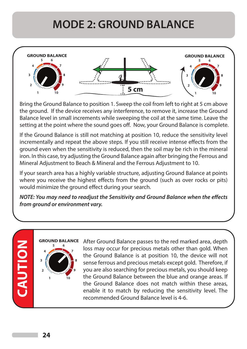## **MODE 2: GROUND BALANCE**



Bring the Ground Balance to position 1. Sweep the coil from left to right at 5 cm above the ground. If the device receives any interference, to remove it, increase the Ground Balance level in small increments while sweeping the coil at the same time. Leave the setting at the point where the sound goes off. Now, your Ground Balance is complete.

If the Ground Balance is still not matching at position 10, reduce the sensitivity level incrementally and repeat the above steps. If you still receive intense effects from the ground even when the sensitivity is reduced, then the soil may be rich in the mineral iron. In this case, try adjusting the Ground Balance again after bringing the Ferrous and Mineral Adjustment to Beach & Mineral and the Ferrous Adjustment to 10.

If your search area has a highly variable structure, adjusting Ground Balance at points where you receive the highest effects from the ground (such as over rocks or pits) would minimize the ground effect during your search.

*NOTE: You may need to readjust the Sensitivity and Ground Balance when the effects from ground or environment vary.*

# **CAUTION**

**GROUND BALANCE**

After Ground Balance passes to the red marked area, depth loss may occur for precious metals other than gold. When the Ground Balance is at position 10, the device will not sense ferrous and precious metals except gold. Therefore, if you are also searching for precious metals, you should keep the Ground Balance between the blue and orange areas. If the Ground Balance does not match within these areas, enable it to match by reducing the sensitivity level. The recommended Ground Balance level is 4-6.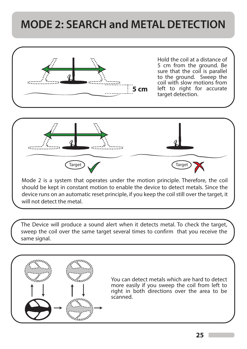## **MODE 2: SEARCH and METAL DETECTION**



The Device will produce a sound alert when it detects metal. To check the target, sweep the coil over the same target several times to confirm that you receive the same signal.



You can detect metals which are hard to detect more easily if you sweep the coil from left to right in both directions over the area to be scanned.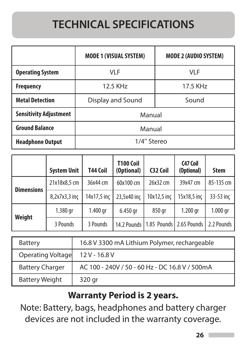## **TECHNICAL SPECIFICATIONS**

|                               | <b>MODE 1 (VISUAL SYSTEM)</b> | <b>MODE 2 (AUDIO SYSTEM)</b> |  |
|-------------------------------|-------------------------------|------------------------------|--|
| <b>Operating System</b>       | VLF                           | <b>VLF</b>                   |  |
| <b>Frequency</b>              | 12.5 KHz                      | 17.5 KHz                     |  |
| <b>Metal Detection</b>        | Display and Sound             | Sound                        |  |
| <b>Sensitivity Adjustment</b> | Manual                        |                              |  |
| <b>Ground Balance</b>         | Manual                        |                              |  |
| <b>Headphone Output</b>       | 1/4" Stereo                   |                              |  |

|                   | <b>System Unit</b> | T44 Coil    | <b>T100 Coil</b><br>(Optional) | C32 Coil                  | C47 Coil<br>(Optional) | <b>Stem</b> |
|-------------------|--------------------|-------------|--------------------------------|---------------------------|------------------------|-------------|
| <b>Dimensions</b> | 21x18x8,5 cm       | 36x44 cm    | 60x100 cm                      | 26x32 cm                  | 39x47 cm               | 85-135 cm   |
|                   | 8,2x7x3,3 inc      | 14x17,5 inc | 23,5x40 inc                    | $10x12,5$ inc             | 15x18,5 inc            | 33-53 inc   |
| <b>Weight</b>     | 1.380 gr           | $1.400$ gr  | 6.450 gr                       | 850 gr                    | 1.200 gr               | $1.000$ gr  |
|                   | 3 Pounds           | 3 Pounds    | 14.2 Pounds                    | 1.85 Pounds   2.65 Pounds |                        | 2.2 Pounds  |

| <b>Battery</b>         | 16.8 V 3300 mA Lithium Polymer, rechargeable   |
|------------------------|------------------------------------------------|
| Operating Voltage      | $12V - 16.8V$                                  |
| <b>Battery Charger</b> | AC 100 - 240V / 50 - 60 Hz - DC 16.8 V / 500mA |
| <b>Battery Weight</b>  | 320 gr                                         |

#### **Warranty Period is 2 years.**

Note: Battery, bags, headphones and battery charger devices are not included in the warranty coverage.